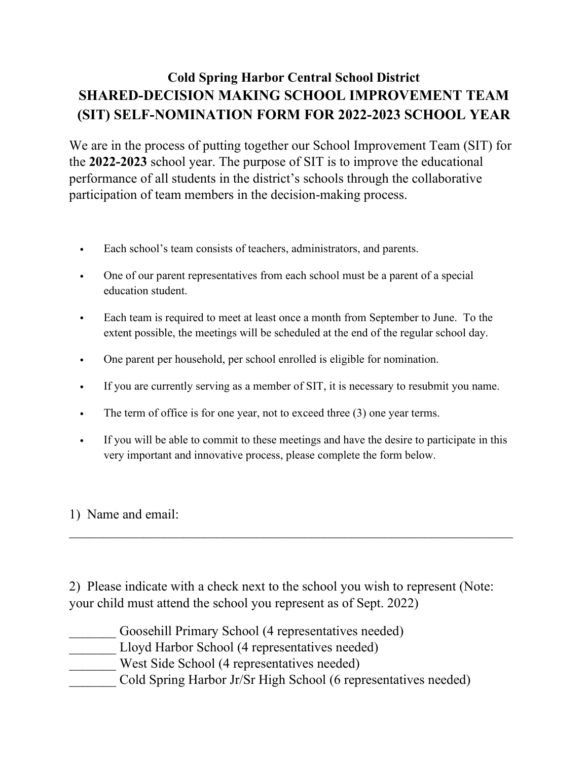## **Cold Spring Harbor Central School District SHARED-DECISION MAKING SCHOOL IMPROVEMENT TEAM (SIT) SELF-NOMINATION FORM FOR 2022-2023 SCHOOL YEAR**

We are in the process of putting together our School Improvement Team (SIT) for the **2022-2023** school year. The purpose of SIT is to improve the educational performance of all students in the district's schools through the collaborative participation of team members in the decision-making process.

- Each school's team consists of teachers, administrators, and parents.
- One of our parent representatives from each school must be a parent of a special education student.
- Each team is required to meet at least once a month from September to June. To the extent possible, the meetings will be scheduled at the end of the regular school day.
- One parent per household, per school enrolled is eligible for nomination.
- If you are currently serving as a member of SIT, it is necessary to resubmit you name.
- The term of office is for one year, not to exceed three (3) one year terms.
- If you will be able to commit to these meetings and have the desire to participate in this very important and innovative process, please complete the form below.

 $\mathcal{L}_\text{max}$  and  $\mathcal{L}_\text{max}$  and  $\mathcal{L}_\text{max}$  and  $\mathcal{L}_\text{max}$  and  $\mathcal{L}_\text{max}$  and  $\mathcal{L}_\text{max}$ 

## 1) Name and email:

2) Please indicate with a check next to the school you wish to represent (Note: your child must attend the school you represent as of Sept. 2022)

- Goosehill Primary School (4 representatives needed)
- Lloyd Harbor School (4 representatives needed)
- West Side School (4 representatives needed)
- Cold Spring Harbor Jr/Sr High School (6 representatives needed)